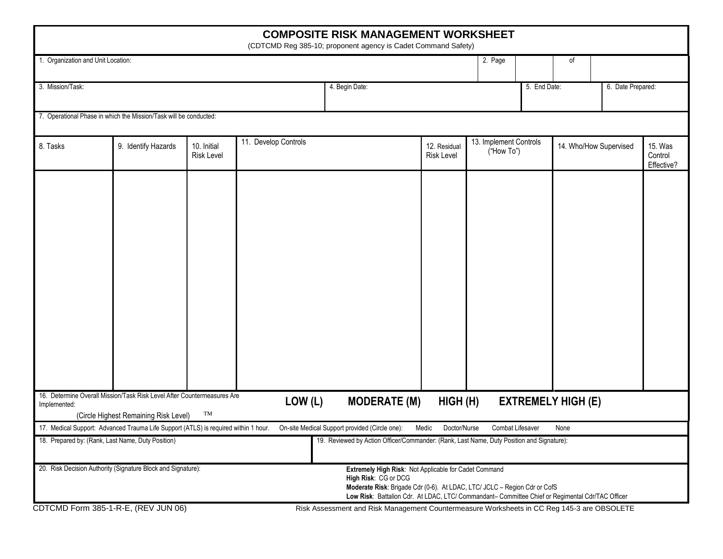|                                                   |                                                                                     |                                  |                      | <b>COMPOSITE RISK MANAGEMENT WORKSHEET</b><br>(CDTCMD Reg 385-10; proponent agency is Cadet Command Safety)                                                                                                                                                    |                            |                                      |              |                           |                        |                                  |  |
|---------------------------------------------------|-------------------------------------------------------------------------------------|----------------------------------|----------------------|----------------------------------------------------------------------------------------------------------------------------------------------------------------------------------------------------------------------------------------------------------------|----------------------------|--------------------------------------|--------------|---------------------------|------------------------|----------------------------------|--|
| 1. Organization and Unit Location:                |                                                                                     |                                  |                      |                                                                                                                                                                                                                                                                |                            | 2. Page                              |              | of                        |                        |                                  |  |
|                                                   |                                                                                     |                                  |                      |                                                                                                                                                                                                                                                                |                            |                                      |              |                           |                        |                                  |  |
| 3. Mission/Task:                                  |                                                                                     |                                  |                      | 4. Begin Date:                                                                                                                                                                                                                                                 |                            |                                      | 5. End Date: |                           |                        | 6. Date Prepared:                |  |
|                                                   | 7. Operational Phase in which the Mission/Task will be conducted:                   |                                  |                      |                                                                                                                                                                                                                                                                |                            |                                      |              |                           |                        |                                  |  |
|                                                   |                                                                                     |                                  |                      |                                                                                                                                                                                                                                                                |                            |                                      |              |                           |                        |                                  |  |
| 8. Tasks                                          | 9. Identify Hazards                                                                 | 10. Initial<br><b>Risk Level</b> | 11. Develop Controls |                                                                                                                                                                                                                                                                | 12. Residual<br>Risk Level | 13. Implement Controls<br>("How To") |              |                           | 14. Who/How Supervised | 15. Was<br>Control<br>Effective? |  |
|                                                   | 16. Determine Overall Mission/Task Risk Level After Countermeasures Are             |                                  |                      |                                                                                                                                                                                                                                                                |                            |                                      |              |                           |                        |                                  |  |
| Implemented:                                      | (Circle Highest Remaining Risk Level)                                               | TM                               | LOW(L)               | <b>MODERATE (M)</b>                                                                                                                                                                                                                                            | HIGH(H)                    |                                      |              | <b>EXTREMELY HIGH (E)</b> |                        |                                  |  |
|                                                   | 17. Medical Support: Advanced Trauma Life Support (ATLS) is required within 1 hour. |                                  |                      | On-site Medical Support provided (Circle one):                                                                                                                                                                                                                 | Doctor/Nurse<br>Medic      | <b>Combat Lifesaver</b>              |              | None                      |                        |                                  |  |
| 18. Prepared by: (Rank, Last Name, Duty Position) |                                                                                     |                                  |                      | 19. Reviewed by Action Officer/Commander: (Rank, Last Name, Duty Position and Signature):                                                                                                                                                                      |                            |                                      |              |                           |                        |                                  |  |
|                                                   | 20. Risk Decision Authority (Signature Block and Signature):                        |                                  |                      | Extremely High Risk: Not Applicable for Cadet Command<br>High Risk: CG or DCG<br>Moderate Risk: Brigade Cdr (0-6). At LDAC, LTC/ JCLC - Region Cdr or CofS<br>Low Risk: Battalion Cdr. At LDAC, LTC/ Commandant- Committee Chief or Regimental Cdr/TAC Officer |                            |                                      |              |                           |                        |                                  |  |
| CDTCMD Form 385-1-R-E, (REV JUN 06)               |                                                                                     |                                  |                      | Risk Assessment and Risk Management Countermeasure Worksheets in CC Reg 145-3 are OBSOLETE                                                                                                                                                                     |                            |                                      |              |                           |                        |                                  |  |